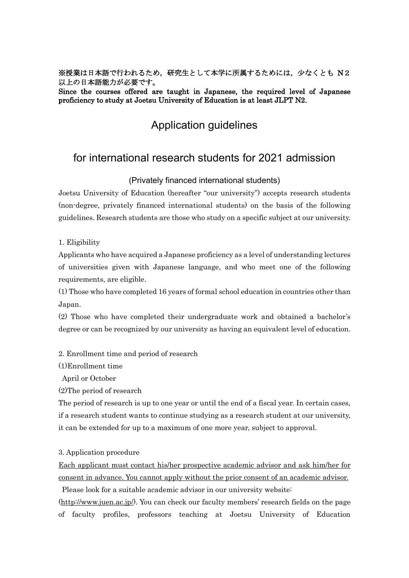※授業は日本語で行われるため,研究生として本学に所属するためには,少なくとも N2 以上の日本語能力が必要です。

Since the courses offered are taught in Japanese, the required level of Japanese proficiency to study at Joetsu University of Education is at least JLPT N2.

# Application guidelines

## for international research students for 2021 admission

(Privately financed international students)

Joetsu University of Education (hereafter "our university") accepts research students (non-degree, privately financed international students) on the basis of the following guidelines. Research students are those who study on a specific subject at our university.

1. Eligibility

Applicants who have acquired a Japanese proficiency as a level of understanding lectures of universities given with Japanese language, and who meet one of the following requirements, are eligible.

(1) Those who have completed 16 years of formal school education in countries other than Japan.

(2) Those who have completed their undergraduate work and obtained a bachelor's degree or can be recognized by our university as having an equivalent level of education.

2. Enrollment time and period of research

(1)Enrollment time

April or October

(2)The period of research

The period of research is up to one year or until the end of a fiscal year. In certain cases, if a research student wants to continue studying as a research student at our university, it can be extended for up to a maximum of one more year, subject to approval.

#### 3. Application procedure

Each applicant must contact his/her prospective academic advisor and ask him/her for consent in advance. You cannot apply without the prior consent of an academic advisor.

Please look for a suitable academic advisor in our university website: [\(http://www.juen.ac.jp/\)](http://www.juen.ac.jp/). You can check our faculty members' research fields on the page of faculty profiles, professors teaching at Joetsu University of Education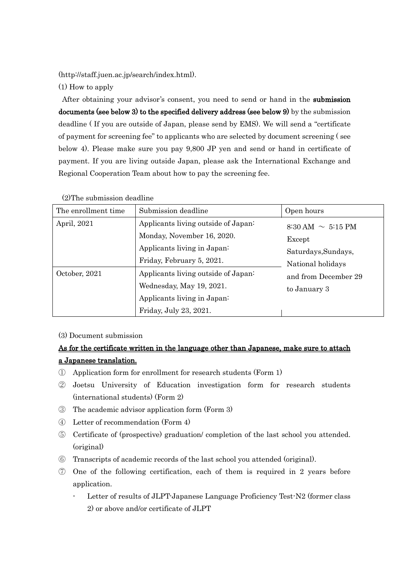(http://staff.juen.ac.jp/search/index.html).

(1) How to apply

After obtaining your advisor's consent, you need to send or hand in the submission documents (see below 3) to the specified delivery address (see below 9) by the submission deadline ( If you are outside of Japan, please send by EMS). We will send a "certificate of payment for screening fee" to applicants who are selected by document screening ( see below 4). Please make sure you pay 9,800 JP yen and send or hand in certificate of payment. If you are living outside Japan, please ask the International Exchange and Regional Cooperation Team about how to pay the screening fee.

| The enrollment time | Submission deadline                                                                                                           | Open hours                                                                                                                           |
|---------------------|-------------------------------------------------------------------------------------------------------------------------------|--------------------------------------------------------------------------------------------------------------------------------------|
| April, 2021         | Applicants living outside of Japan:<br>Monday, November 16, 2020.<br>Applicants living in Japan:<br>Friday, February 5, 2021. | $8:30 \text{ AM} \sim 5:15 \text{ PM}$<br>Except<br>Saturdays, Sundays,<br>National holidays<br>and from December 29<br>to January 3 |
| October, 2021       | Applicants living outside of Japan:<br>Wednesday, May 19, 2021.<br>Applicants living in Japan:<br>Friday, July 23, 2021.      |                                                                                                                                      |

(2)The submission deadline

#### (3) Document submission

### As for the certificate written in the language other than Japanese, make sure to attach a Japanese translation.

- ① Application form for enrollment for research students (Form 1)
- ② Joetsu University of Education investigation form for research students (international students) (Form 2)
- ③ The academic advisor application form (Form 3)
- ④ Letter of recommendation (Form 4)
- ⑤ Certificate of (prospective) graduation/ completion of the last school you attended. (original)
- ⑥ Transcripts of academic records of the last school you attended (original).
- ⑦ One of the following certification, each of them is required in 2 years before application.
	- Letter of results of JLPT-Japanese Language Proficiency Test-N2 (former class 2) or above and/or certificate of JLPT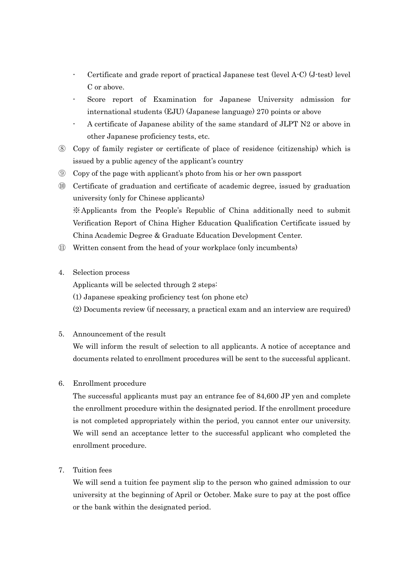- Certificate and grade report of practical Japanese test (level A-C) (J-test) level C or above.
- Score report of Examination for Japanese University admission for international students (EJU) (Japanese language) 270 points or above
- A certificate of Japanese ability of the same standard of JLPT N2 or above in other Japanese proficiency tests, etc.
- ⑧ Copy of family register or certificate of place of residence (citizenship) which is issued by a public agency of the applicant's country
- ⑨ Copy of the page with applicant's photo from his or her own passport
- ⑩ Certificate of graduation and certificate of academic degree, issued by graduation university (only for Chinese applicants) ※Applicants from the People's Republic of China additionally need to submit Verification Report of China Higher Education Qualification Certificate issued by China Academic Degree & Graduate Education Development Center.
- ⑪ Written consent from the head of your workplace (only incumbents)
- 4. Selection process
	- Applicants will be selected through 2 steps:
	- (1) Japanese speaking proficiency test (on phone etc)
	- (2) Documents review (if necessary, a practical exam and an interview are required)
- 5. Announcement of the result

We will inform the result of selection to all applicants. A notice of acceptance and documents related to enrollment procedures will be sent to the successful applicant.

6. Enrollment procedure

The successful applicants must pay an entrance fee of 84,600 JP yen and complete the enrollment procedure within the designated period. If the enrollment procedure is not completed appropriately within the period, you cannot enter our university. We will send an acceptance letter to the successful applicant who completed the enrollment procedure.

7. Tuition fees

We will send a tuition fee payment slip to the person who gained admission to our university at the beginning of April or October. Make sure to pay at the post office or the bank within the designated period.